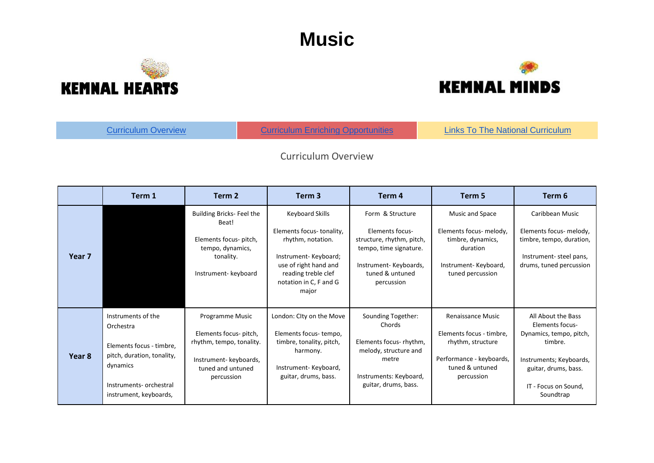



<span id="page-0-0"></span>

| <b>Curriculum Overview</b> |                           |                            | <b>Curriculum Enriching Opportunities</b><br><b>Links To The National Curriculum</b> |                 |                 |
|----------------------------|---------------------------|----------------------------|--------------------------------------------------------------------------------------|-----------------|-----------------|
|                            |                           | <b>Curriculum Overview</b> |                                                                                      |                 |                 |
| Term 1                     | Term 2                    | Term 3                     | Term 4                                                                               | Term 5          | Term 6          |
|                            | Building Bricks- Feel the | Keyboard Skills            | Form & Structure                                                                     | Music and Space | Caribbean Music |

|                   |                                        | Building Bricks- Feel the<br>Beat!                      | Keyboard Skills                                                                 | Form & Structure                                                       | Music and Space                                          | Caribbean Music                                                               |
|-------------------|----------------------------------------|---------------------------------------------------------|---------------------------------------------------------------------------------|------------------------------------------------------------------------|----------------------------------------------------------|-------------------------------------------------------------------------------|
| Year <sub>7</sub> |                                        | Elements focus- pitch,<br>tempo, dynamics,<br>tonality. | Elements focus-tonality,<br>rhythm, notation.<br>Instrument-Keyboard;           | Elements focus-<br>structure, rhythm, pitch,<br>tempo, time signature. | Elements focus- melody,<br>timbre, dynamics,<br>duration | Elements focus- melody,<br>timbre, tempo, duration,<br>Instrument-steel pans, |
|                   |                                        | Instrument- keyboard                                    | use of right hand and<br>reading treble clef<br>notation in C, F and G<br>major | Instrument-Keyboards,<br>tuned & untuned<br>percussion                 | Instrument-Keyboard,<br>tuned percussion                 | drums, tuned percussion                                                       |
|                   | Instruments of the<br>Orchestra        | Programme Music                                         | London: Clty on the Move                                                        | Sounding Together:<br>Chords                                           | <b>Renaissance Music</b>                                 | All About the Bass<br><b>Elements focus-</b>                                  |
|                   |                                        | Elements focus- pitch,                                  | Elements focus-tempo,                                                           |                                                                        | Elements focus - timbre,                                 | Dynamics, tempo, pitch,                                                       |
|                   | Elements focus - timbre,               | rhythm, tempo, tonality.                                | timbre, tonality, pitch,<br>harmony.                                            | Elements focus-rhythm,<br>melody, structure and                        | rhythm, structure                                        | timbre.                                                                       |
| Year 8            | pitch, duration, tonality,<br>dynamics | Instrument-keyboards,<br>tuned and untuned              | Instrument-Keyboard,                                                            | metre                                                                  | Performance - keyboards,<br>tuned & untuned              | Instruments; Keyboards,<br>guitar, drums, bass.                               |
|                   | Instruments-orchestral                 | percussion                                              | guitar, drums, bass.                                                            | Instruments: Keyboard,<br>guitar, drums, bass.                         | percussion                                               | IT - Focus on Sound,                                                          |
|                   | instrument, keyboards,                 |                                                         |                                                                                 |                                                                        |                                                          | Soundtrap                                                                     |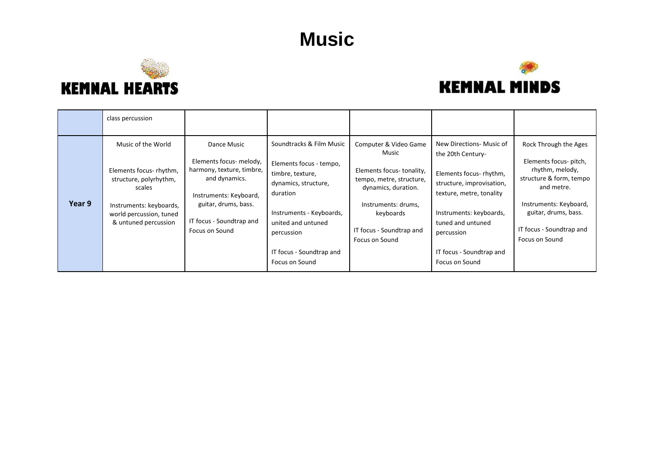



| class percussion<br>Music of the World<br>Soundtracks & Film Music<br>Computer & Video Game<br>Dance Music<br>New Directions- Music of<br>Music<br>the 20th Century-<br>Elements focus- melody,<br>Elements focus - tempo,<br>harmony, texture, timbre,<br>Elements focus-rhythm,<br>Elements focus-tonality,<br>Elements focus-rhythm,<br>timbre, texture,<br>and dynamics.<br>structure, polyrhythm,<br>tempo, metre, structure,                                                                                                                                                                        |  |                      |                           |                                                                                                                                                                             |
|-----------------------------------------------------------------------------------------------------------------------------------------------------------------------------------------------------------------------------------------------------------------------------------------------------------------------------------------------------------------------------------------------------------------------------------------------------------------------------------------------------------------------------------------------------------------------------------------------------------|--|----------------------|---------------------------|-----------------------------------------------------------------------------------------------------------------------------------------------------------------------------|
|                                                                                                                                                                                                                                                                                                                                                                                                                                                                                                                                                                                                           |  |                      |                           |                                                                                                                                                                             |
|                                                                                                                                                                                                                                                                                                                                                                                                                                                                                                                                                                                                           |  |                      |                           |                                                                                                                                                                             |
| and metre.<br>dynamics, duration.<br>scales<br>duration<br>texture, metre, tonality<br>Instruments: Keyboard,<br>Year 9<br>guitar, drums, bass.<br>Instruments: drums,<br>Instruments: keyboards,<br>Instruments - Keyboards,<br>Instruments: keyboards,<br>keyboards<br>world percussion, tuned<br>IT focus - Soundtrap and<br>& untuned percussion<br>united and untuned<br>tuned and untuned<br>IT focus - Soundtrap and<br>Focus on Sound<br>percussion<br>percussion<br>Focus on Sound<br>Focus on Sound<br>IT focus - Soundtrap and<br>IT focus - Soundtrap and<br>Focus on Sound<br>Focus on Sound |  | dynamics, structure, | structure, improvisation, | Rock Through the Ages<br>Elements focus- pitch,<br>rhythm, melody,<br>structure & form, tempo<br>Instruments: Keyboard,<br>guitar, drums, bass.<br>IT focus - Soundtrap and |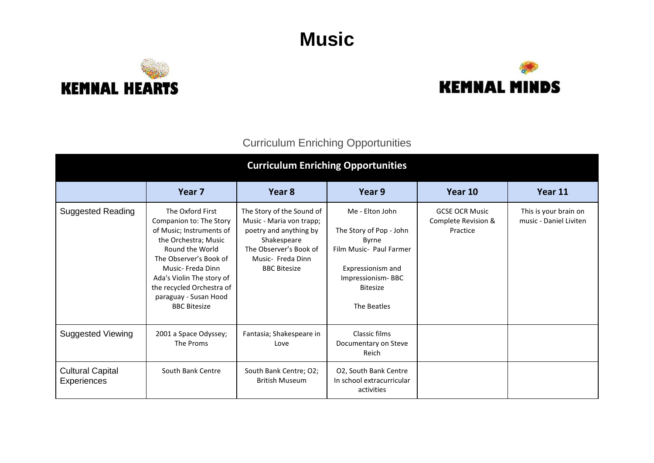



### Curriculum Enriching Opportunities

<span id="page-2-0"></span>

| <b>Curriculum Enriching Opportunities</b> |                                                                                                                                                                                                                                                                             |                                                                                                                                                                      |                                                                                                                                                                   |                                                          |                                                 |
|-------------------------------------------|-----------------------------------------------------------------------------------------------------------------------------------------------------------------------------------------------------------------------------------------------------------------------------|----------------------------------------------------------------------------------------------------------------------------------------------------------------------|-------------------------------------------------------------------------------------------------------------------------------------------------------------------|----------------------------------------------------------|-------------------------------------------------|
|                                           | Year 7                                                                                                                                                                                                                                                                      | Year 8                                                                                                                                                               | Year 9                                                                                                                                                            | Year 10                                                  | Year 11                                         |
| <b>Suggested Reading</b>                  | The Oxford First<br>Companion to: The Story<br>of Music; Instruments of<br>the Orchestra; Music<br>Round the World<br>The Observer's Book of<br>Music- Freda Dinn<br>Ada's Violin The story of<br>the recycled Orchestra of<br>paraguay - Susan Hood<br><b>BBC Bitesize</b> | The Story of the Sound of<br>Music - Maria von trapp;<br>poetry and anything by<br>Shakespeare<br>The Observer's Book of<br>Music- Freda Dinn<br><b>BBC Bitesize</b> | Me - Elton John<br>The Story of Pop - John<br><b>Byrne</b><br>Film Music- Paul Farmer<br>Expressionism and<br>Impressionism-BBC<br><b>Bitesize</b><br>The Beatles | <b>GCSE OCR Music</b><br>Complete Revision &<br>Practice | This is your brain on<br>music - Daniel Liviten |
| <b>Suggested Viewing</b>                  | 2001 a Space Odyssey;<br>The Proms                                                                                                                                                                                                                                          | Fantasia; Shakespeare in<br>Love                                                                                                                                     | Classic films<br>Documentary on Steve<br>Reich                                                                                                                    |                                                          |                                                 |
| <b>Cultural Capital</b><br>Experiences    | South Bank Centre                                                                                                                                                                                                                                                           | South Bank Centre; O2;<br><b>British Museum</b>                                                                                                                      | O2, South Bank Centre<br>In school extracurricular<br>activities                                                                                                  |                                                          |                                                 |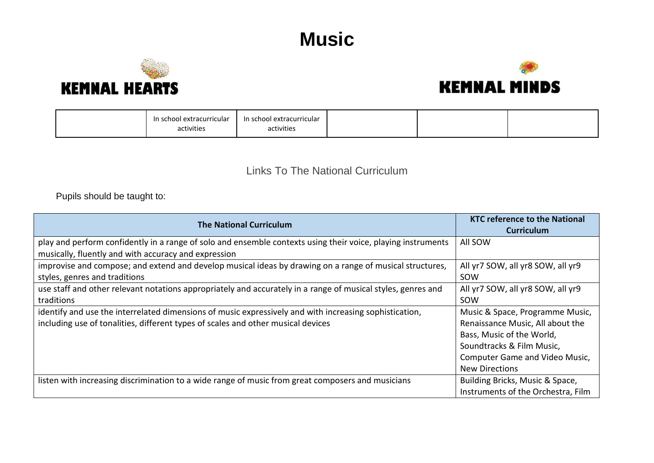



| - In school extracurricular<br>- In school extracurricular<br>ıctivities<br>activities<br>.<br>. |
|--------------------------------------------------------------------------------------------------|
|--------------------------------------------------------------------------------------------------|

#### Links To The National Curriculum

<span id="page-3-0"></span>Pupils should be taught to:

| <b>The National Curriculum</b>                                                                                                                                                             | <b>KTC reference to the National</b><br><b>Curriculum</b>                                                                                                                                       |
|--------------------------------------------------------------------------------------------------------------------------------------------------------------------------------------------|-------------------------------------------------------------------------------------------------------------------------------------------------------------------------------------------------|
| play and perform confidently in a range of solo and ensemble contexts using their voice, playing instruments<br>musically, fluently and with accuracy and expression                       | All SOW                                                                                                                                                                                         |
| improvise and compose; and extend and develop musical ideas by drawing on a range of musical structures,<br>styles, genres and traditions                                                  | All yr7 SOW, all yr8 SOW, all yr9<br>SOW                                                                                                                                                        |
| use staff and other relevant notations appropriately and accurately in a range of musical styles, genres and<br>traditions                                                                 | All yr7 SOW, all yr8 SOW, all yr9<br>SOW                                                                                                                                                        |
| identify and use the interrelated dimensions of music expressively and with increasing sophistication,<br>including use of tonalities, different types of scales and other musical devices | Music & Space, Programme Music,<br>Renaissance Music, All about the<br>Bass, Music of the World,<br>Soundtracks & Film Music,<br><b>Computer Game and Video Music,</b><br><b>New Directions</b> |
| listen with increasing discrimination to a wide range of music from great composers and musicians                                                                                          | Building Bricks, Music & Space,<br>Instruments of the Orchestra, Film                                                                                                                           |